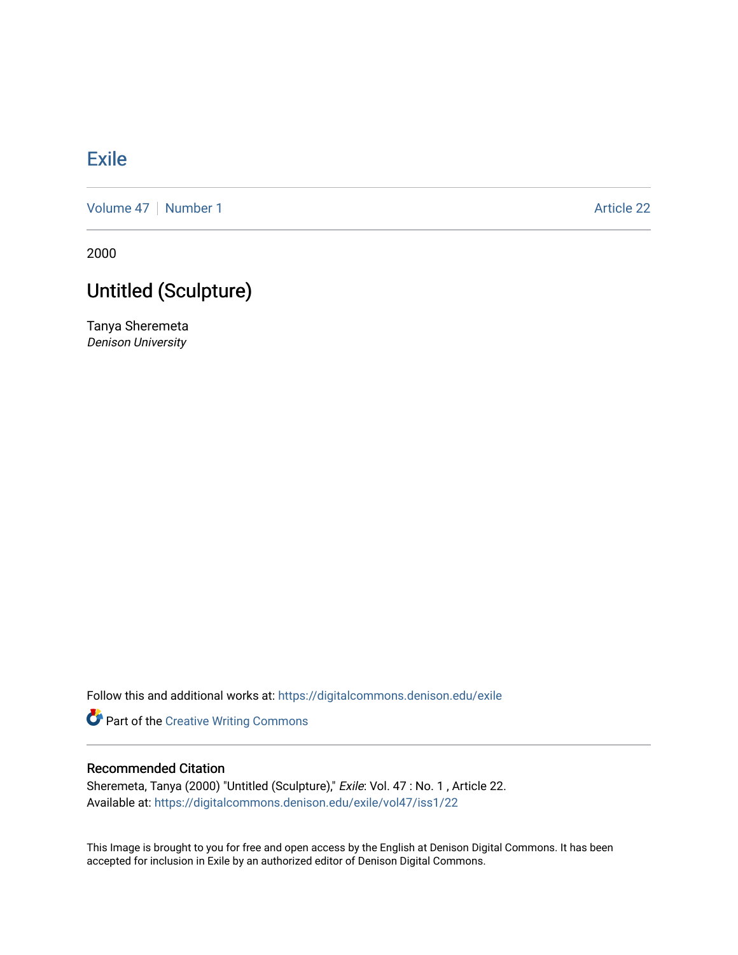## **[Exile](https://digitalcommons.denison.edu/exile)**

[Volume 47](https://digitalcommons.denison.edu/exile/vol47) | [Number 1](https://digitalcommons.denison.edu/exile/vol47/iss1) Article 22

2000

## Untitled (Sculpture)

Tanya Sheremeta Denison University

Follow this and additional works at: [https://digitalcommons.denison.edu/exile](https://digitalcommons.denison.edu/exile?utm_source=digitalcommons.denison.edu%2Fexile%2Fvol47%2Fiss1%2F22&utm_medium=PDF&utm_campaign=PDFCoverPages) 

Part of the [Creative Writing Commons](http://network.bepress.com/hgg/discipline/574?utm_source=digitalcommons.denison.edu%2Fexile%2Fvol47%2Fiss1%2F22&utm_medium=PDF&utm_campaign=PDFCoverPages) 

## Recommended Citation

Sheremeta, Tanya (2000) "Untitled (Sculpture)," Exile: Vol. 47 : No. 1 , Article 22. Available at: [https://digitalcommons.denison.edu/exile/vol47/iss1/22](https://digitalcommons.denison.edu/exile/vol47/iss1/22?utm_source=digitalcommons.denison.edu%2Fexile%2Fvol47%2Fiss1%2F22&utm_medium=PDF&utm_campaign=PDFCoverPages)

This Image is brought to you for free and open access by the English at Denison Digital Commons. It has been accepted for inclusion in Exile by an authorized editor of Denison Digital Commons.